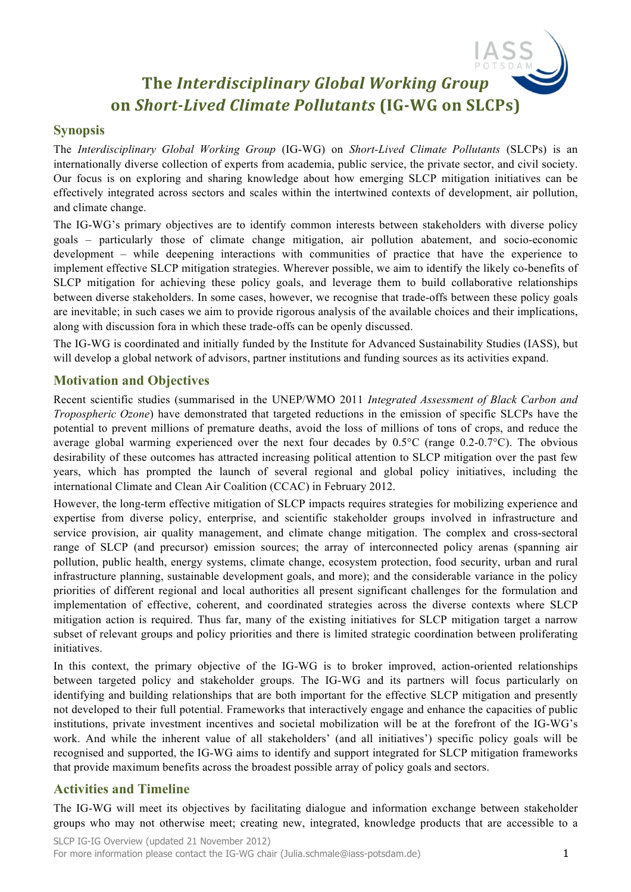# **The Interdisciplinary Global Working Group on** *Short-Lived Climate Pollutants* **(IG-WG on SLCPs)**

### **Synopsis**

The *Interdisciplinary Global Working Group* (IG-WG) on *Short-Lived Climate Pollutants* (SLCPs) is an internationally diverse collection of experts from academia, public service, the private sector, and civil society. Our focus is on exploring and sharing knowledge about how emerging SLCP mitigation initiatives can be effectively integrated across sectors and scales within the intertwined contexts of development, air pollution, and climate change.

The IG-WG's primary objectives are to identify common interests between stakeholders with diverse policy goals – particularly those of climate change mitigation, air pollution abatement, and socio-economic development – while deepening interactions with communities of practice that have the experience to implement effective SLCP mitigation strategies. Wherever possible, we aim to identify the likely co-benefits of SLCP mitigation for achieving these policy goals, and leverage them to build collaborative relationships between diverse stakeholders. In some cases, however, we recognise that trade-offs between these policy goals are inevitable; in such cases we aim to provide rigorous analysis of the available choices and their implications, along with discussion fora in which these trade-offs can be openly discussed.

The IG-WG is coordinated and initially funded by the Institute for Advanced Sustainability Studies (IASS), but will develop a global network of advisors, partner institutions and funding sources as its activities expand.

#### **Motivation and Objectives**

Recent scientific studies (summarised in the UNEP/WMO 2011 *Integrated Assessment of Black Carbon and Tropospheric Ozone*) have demonstrated that targeted reductions in the emission of specific SLCPs have the potential to prevent millions of premature deaths, avoid the loss of millions of tons of crops, and reduce the average global warming experienced over the next four decades by 0.5°C (range 0.2-0.7°C). The obvious desirability of these outcomes has attracted increasing political attention to SLCP mitigation over the past few years, which has prompted the launch of several regional and global policy initiatives, including the international Climate and Clean Air Coalition (CCAC) in February 2012.

However, the long-term effective mitigation of SLCP impacts requires strategies for mobilizing experience and expertise from diverse policy, enterprise, and scientific stakeholder groups involved in infrastructure and service provision, air quality management, and climate change mitigation. The complex and cross-sectoral range of SLCP (and precursor) emission sources; the array of interconnected policy arenas (spanning air pollution, public health, energy systems, climate change, ecosystem protection, food security, urban and rural infrastructure planning, sustainable development goals, and more); and the considerable variance in the policy priorities of different regional and local authorities all present significant challenges for the formulation and implementation of effective, coherent, and coordinated strategies across the diverse contexts where SLCP mitigation action is required. Thus far, many of the existing initiatives for SLCP mitigation target a narrow subset of relevant groups and policy priorities and there is limited strategic coordination between proliferating initiatives.

In this context, the primary objective of the IG-WG is to broker improved, action-oriented relationships between targeted policy and stakeholder groups. The IG-WG and its partners will focus particularly on identifying and building relationships that are both important for the effective SLCP mitigation and presently not developed to their full potential. Frameworks that interactively engage and enhance the capacities of public institutions, private investment incentives and societal mobilization will be at the forefront of the IG-WG's work. And while the inherent value of all stakeholders' (and all initiatives') specific policy goals will be recognised and supported, the IG-WG aims to identify and support integrated for SLCP mitigation frameworks that provide maximum benefits across the broadest possible array of policy goals and sectors.

## **Activities and Timeline**

The IG-WG will meet its objectives by facilitating dialogue and information exchange between stakeholder groups who may not otherwise meet; creating new, integrated, knowledge products that are accessible to a